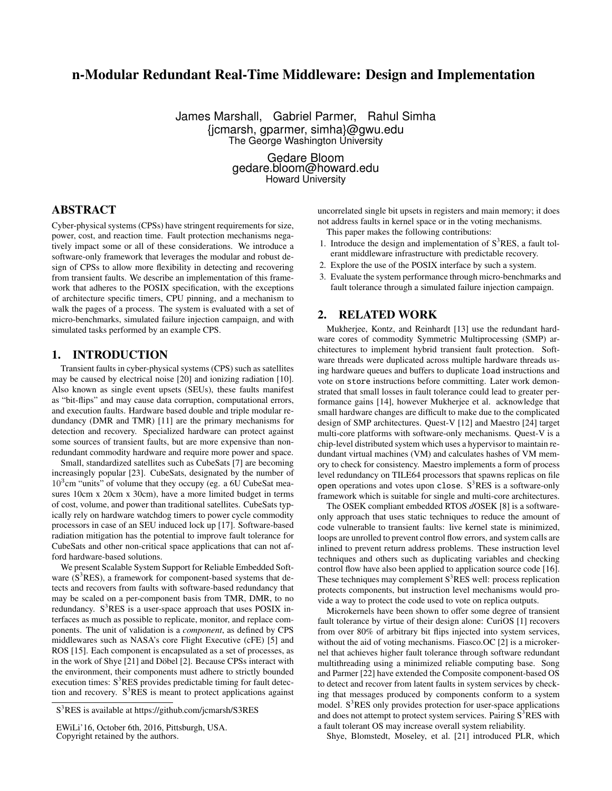# n-Modular Redundant Real-Time Middleware: Design and Implementation

James Marshall, Gabriel Parmer, Rahul Simha {jcmarsh, gparmer, simha}@gwu.edu The George Washington University

> Gedare Bloom gedare.bloom@howard.edu Howard University

# ABSTRACT

Cyber-physical systems (CPSs) have stringent requirements for size, power, cost, and reaction time. Fault protection mechanisms negatively impact some or all of these considerations. We introduce a software-only framework that leverages the modular and robust design of CPSs to allow more flexibility in detecting and recovering from transient faults. We describe an implementation of this framework that adheres to the POSIX specification, with the exceptions of architecture specific timers, CPU pinning, and a mechanism to walk the pages of a process. The system is evaluated with a set of micro-benchmarks, simulated failure injection campaign, and with simulated tasks performed by an example CPS.

#### 1. INTRODUCTION

Transient faults in cyber-physical systems (CPS) such as satellites may be caused by electrical noise [\[20\]](#page-5-0) and ionizing radiation [\[10\]](#page-5-1). Also known as single event upsets (SEUs), these faults manifest as "bit-flips" and may cause data corruption, computational errors, and execution faults. Hardware based double and triple modular redundancy (DMR and TMR) [\[11\]](#page-5-2) are the primary mechanisms for detection and recovery. Specialized hardware can protect against some sources of transient faults, but are more expensive than nonredundant commodity hardware and require more power and space.

Small, standardized satellites such as CubeSats [\[7\]](#page-5-3) are becoming increasingly popular [\[23\]](#page-5-4). CubeSats, designated by the number of 10<sup>3</sup>cm "units" of volume that they occupy (eg. a 6U CubeSat measures 10cm x 20cm x 30cm), have a more limited budget in terms of cost, volume, and power than traditional satellites. CubeSats typically rely on hardware watchdog timers to power cycle commodity processors in case of an SEU induced lock up [\[17\]](#page-5-5). Software-based radiation mitigation has the potential to improve fault tolerance for CubeSats and other non-critical space applications that can not afford hardware-based solutions.

We present Scalable System Support for Reliable Embedded Software  $(S^3RES)$ , a framework for component-based systems that detects and recovers from faults with software-based redundancy that may be scaled on a per-component basis from TMR, DMR, to no redundancy.  $S^3$ RES is a user-space approach that uses POSIX interfaces as much as possible to replicate, monitor, and replace components. The unit of validation is a *component*, as defined by CPS middlewares such as NASA's core Flight Executive (cFE) [\[5\]](#page-5-6) and ROS [\[15\]](#page-5-7). Each component is encapsulated as a set of processes, as in the work of Shye [\[21\]](#page-5-8) and Döbel [\[2\]](#page-5-9). Because CPSs interact with the environment, their components must adhere to strictly bounded execution times:  $S<sup>3</sup>RES$  provides predictable timing for fault detection and recovery.  $S^3RES$  is meant to protect applications against uncorrelated single bit upsets in registers and main memory; it does not address faults in kernel space or in the voting mechanisms.

This paper makes the following contributions:

- 1. Introduce the design and implementation of  $S<sup>3</sup>RES$ , a fault tolerant middleware infrastructure with predictable recovery.
- 2. Explore the use of the POSIX interface by such a system.
- 3. Evaluate the system performance through micro-benchmarks and fault tolerance through a simulated failure injection campaign.

# 2. RELATED WORK

Mukherjee, Kontz, and Reinhardt [\[13\]](#page-5-10) use the redundant hardware cores of commodity Symmetric Multiprocessing (SMP) architectures to implement hybrid transient fault protection. Software threads were duplicated across multiple hardware threads using hardware queues and buffers to duplicate load instructions and vote on store instructions before committing. Later work demonstrated that small losses in fault tolerance could lead to greater performance gains [\[14\]](#page-5-11), however Mukherjee et al. acknowledge that small hardware changes are difficult to make due to the complicated design of SMP architectures. Quest-V [\[12\]](#page-5-12) and Maestro [\[24\]](#page-5-13) target multi-core platforms with software-only mechanisms. Quest-V is a chip-level distributed system which uses a hypervisor to maintain redundant virtual machines (VM) and calculates hashes of VM memory to check for consistency. Maestro implements a form of process level redundancy on TILE64 processors that spawns replicas on file open operations and votes upon close.  $S<sup>3</sup>RES$  is a software-only framework which is suitable for single and multi-core architectures.

The OSEK compliant embedded RTOS *d*OSEK [\[8\]](#page-5-14) is a softwareonly approach that uses static techniques to reduce the amount of code vulnerable to transient faults: live kernel state is minimized, loops are unrolled to prevent control flow errors, and system calls are inlined to prevent return address problems. These instruction level techniques and others such as duplicating variables and checking control flow have also been applied to application source code [\[16\]](#page-5-15). These techniques may complement  $S<sup>3</sup>RES$  well: process replication protects components, but instruction level mechanisms would provide a way to protect the code used to vote on replica outputs.

Microkernels have been shown to offer some degree of transient fault tolerance by virtue of their design alone: CuriOS [\[1\]](#page-5-16) recovers from over 80% of arbitrary bit flips injected into system services, without the aid of voting mechanisms. Fiasco. OC [\[2\]](#page-5-9) is a microkernel that achieves higher fault tolerance through software redundant multithreading using a minimized reliable computing base. Song and Parmer [\[22\]](#page-5-17) have extended the Composite component-based OS to detect and recover from latent faults in system services by checking that messages produced by components conform to a system model.  $S<sup>3</sup>RES$  only provides protection for user-space applications and does not attempt to protect system services. Pairing  $S<sup>3</sup>RES$  with a fault tolerant OS may increase overall system reliability.

Shye, Blomstedt, Moseley, et al. [\[21\]](#page-5-8) introduced PLR, which

S <sup>3</sup>RES is available at <https://github.com/jcmarsh/S3RES>

EWiLi'16, October 6th, 2016, Pittsburgh, USA. Copyright retained by the authors.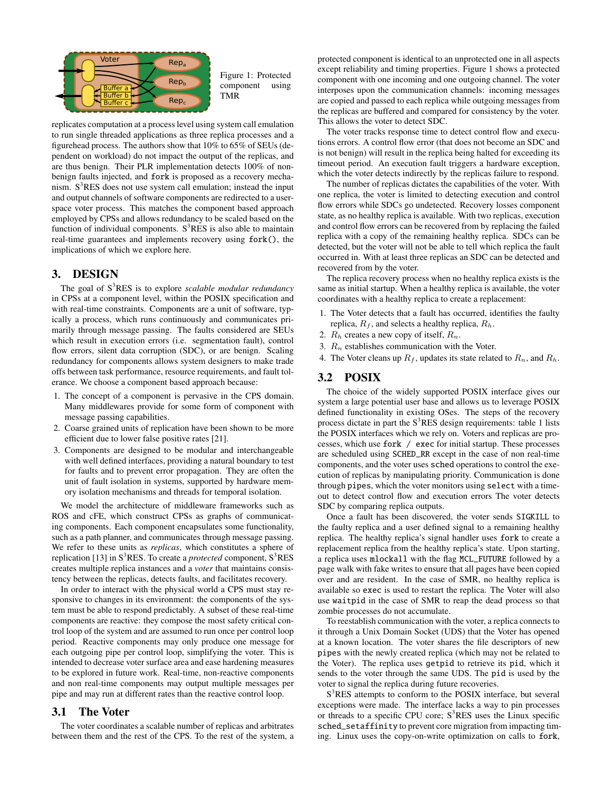<span id="page-1-0"></span>

Figure 1: Protected component using TMR

replicates computation at a process level using system call emulation to run single threaded applications as three replica processes and a figurehead process. The authors show that 10% to 65% of SEUs (dependent on workload) do not impact the output of the replicas, and are thus benign. Their PLR implementation detects 100% of nonbenign faults injected, and fork is proposed as a recovery mechanism.  $S<sup>3</sup>RES$  does not use system call emulation; instead the input and output channels of software components are redirected to a userspace voter process. This matches the component based approach employed by CPSs and allows redundancy to be scaled based on the function of individual components.  $S<sup>3</sup>RES$  is also able to maintain real-time guarantees and implements recovery using fork(), the implications of which we explore here.

## 3. DESIGN

The goal of S<sup>3</sup>RES is to explore *scalable modular redundancy* in CPSs at a component level, within the POSIX specification and with real-time constraints. Components are a unit of software, typically a process, which runs continuously and communicates primarily through message passing. The faults considered are SEUs which result in execution errors (i.e. segmentation fault), control flow errors, silent data corruption (SDC), or are benign. Scaling redundancy for components allows system designers to make trade offs between task performance, resource requirements, and fault tolerance. We choose a component based approach because:

- 1. The concept of a component is pervasive in the CPS domain. Many middlewares provide for some form of component with message passing capabilities.
- 2. Coarse grained units of replication have been shown to be more efficient due to lower false positive rates [\[21\]](#page-5-8).
- 3. Components are designed to be modular and interchangeable with well defined interfaces, providing a natural boundary to test for faults and to prevent error propagation. They are often the unit of fault isolation in systems, supported by hardware memory isolation mechanisms and threads for temporal isolation.

We model the architecture of middleware frameworks such as ROS and cFE, which construct CPSs as graphs of communicating components. Each component encapsulates some functionality, such as a path planner, and communicates through message passing. We refer to these units as *replicas*, which constitutes a sphere of replication [\[13\]](#page-5-10) in  $S<sup>3</sup>RES$ . To create a *protected* component,  $S<sup>3</sup>RES$ creates multiple replica instances and a *voter* that maintains consistency between the replicas, detects faults, and facilitates recovery.

In order to interact with the physical world a CPS must stay responsive to changes in its environment: the components of the system must be able to respond predictably. A subset of these real-time components are reactive: they compose the most safety critical control loop of the system and are assumed to run once per control loop period. Reactive components may only produce one message for each outgoing pipe per control loop, simplifying the voter. This is intended to decrease voter surface area and ease hardening measures to be explored in future work. Real-time, non-reactive components and non real-time components may output multiple messages per pipe and may run at different rates than the reactive control loop.

#### 3.1 The Voter

The voter coordinates a scalable number of replicas and arbitrates between them and the rest of the CPS. To the rest of the system, a protected component is identical to an unprotected one in all aspects except reliability and timing properties. Figure [1](#page-1-0) shows a protected component with one incoming and one outgoing channel. The voter interposes upon the communication channels: incoming messages are copied and passed to each replica while outgoing messages from the replicas are buffered and compared for consistency by the voter. This allows the voter to detect SDC.

The voter tracks response time to detect control flow and executions errors. A control flow error (that does not become an SDC and is not benign) will result in the replica being halted for exceeding its timeout period. An execution fault triggers a hardware exception, which the voter detects indirectly by the replicas failure to respond.

The number of replicas dictates the capabilities of the voter. With one replica, the voter is limited to detecting execution and control flow errors while SDCs go undetected. Recovery losses component state, as no healthy replica is available. With two replicas, execution and control flow errors can be recovered from by replacing the failed replica with a copy of the remaining healthy replica. SDCs can be detected, but the voter will not be able to tell which replica the fault occurred in. With at least three replicas an SDC can be detected and recovered from by the voter.

The replica recovery process when no healthy replica exists is the same as initial startup. When a healthy replica is available, the voter coordinates with a healthy replica to create a replacement:

- 1. The Voter detects that a fault has occurred, identifies the faulty replica,  $R_f$ , and selects a healthy replica,  $R_h$ .
- 2.  $R_h$  creates a new copy of itself,  $R_n$ .
- 3.  $R_n$  establishes communication with the Voter.
- 4. The Voter cleans up  $R_f$ , updates its state related to  $R_n$ , and  $R_h$ .

# <span id="page-1-1"></span>3.2 POSIX

The choice of the widely supported POSIX interface gives our system a large potential user base and allows us to leverage POSIX defined functionality in existing OSes. The steps of the recovery process dictate in part the  $S<sup>3</sup>RES$  design requirements: table [1](#page-2-0) lists the POSIX interfaces which we rely on. Voters and replicas are processes, which use fork / exec for initial startup. These processes are scheduled using SCHED\_RR except in the case of non real-time components, and the voter uses sched operations to control the execution of replicas by manipulating priority. Communication is done through pipes, which the voter monitors using select with a timeout to detect control flow and execution errors The voter detects SDC by comparing replica outputs.

Once a fault has been discovered, the voter sends SIGKILL to the faulty replica and a user defined signal to a remaining healthy replica. The healthy replica's signal handler uses fork to create a replacement replica from the healthy replica's state. Upon starting, a replica uses mlockall with the flag MCL\_FUTURE followed by a page walk with fake writes to ensure that all pages have been copied over and are resident. In the case of SMR, no healthy replica is available so exec is used to restart the replica. The Voter will also use waitpid in the case of SMR to reap the dead process so that zombie processes do not accumulate.

To reestablish communication with the voter, a replica connects to it through a Unix Domain Socket (UDS) that the Voter has opened at a known location. The voter shares the file descriptors of new pipes with the newly created replica (which may not be related to the Voter). The replica uses getpid to retrieve its pid, which it sends to the voter through the same UDS. The pid is used by the voter to signal the replica during future recoveries.

S<sup>3</sup>RES attempts to conform to the POSIX interface, but several exceptions were made. The interface lacks a way to pin processes or threads to a specific CPU core;  $S<sup>3</sup>RES$  uses the Linux specific sched\_setaffinity to prevent core migration from impacting timing. Linux uses the copy-on-write optimization on calls to fork,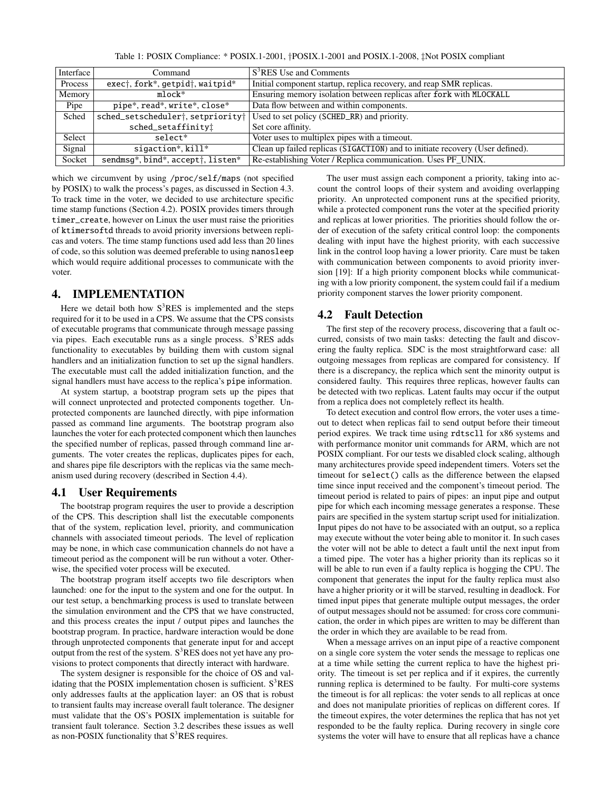Table 1: POSIX Compliance: \* POSIX.1-2001, †POSIX.1-2001 and POSIX.1-2008, ‡Not POSIX compliant

<span id="page-2-0"></span>

| Interface | Command                                                                              | S <sup>3</sup> RES Use and Comments                                           |  |  |  |  |
|-----------|--------------------------------------------------------------------------------------|-------------------------------------------------------------------------------|--|--|--|--|
| Process   | exec <sup>†</sup> , fork*, getpid <sup>+</sup> , waitpid*                            | Initial component startup, replica recovery, and reap SMR replicas.           |  |  |  |  |
| Memory    | $m$ lock $*$                                                                         | Ensuring memory isolation between replicas after fork with MLOCKALL           |  |  |  |  |
| Pipe      | pipe*, read*, write*, close*                                                         | Data flow between and within components.                                      |  |  |  |  |
| Sched     | sched_setscheduler <sup>+</sup> , setpriority <sup>+</sup>                           | Used to set policy (SCHED_RR) and priority.                                   |  |  |  |  |
|           | sched_setaffinity!                                                                   | Set core affinity.                                                            |  |  |  |  |
| Select    | $selfer*$                                                                            | Voter uses to multiplex pipes with a timeout.                                 |  |  |  |  |
| Signal    | $sigaction*,$ $kill*$                                                                | Clean up failed replicas (SIGACTION) and to initiate recovery (User defined). |  |  |  |  |
| Socket    | sendmsg <sup>*</sup> , bind <sup>*</sup> , accept <sup>†</sup> , listen <sup>*</sup> | Re-establishing Voter / Replica communication. Uses PF_UNIX.                  |  |  |  |  |

which we circumvent by using /proc/self/maps (not specified by POSIX) to walk the process's pages, as discussed in Section [4.3.](#page-3-0) To track time in the voter, we decided to use architecture specific time stamp functions (Section [4.2\)](#page-2-1). POSIX provides timers through timer\_create, however on Linux the user must raise the priorities of ktimersoftd threads to avoid priority inversions between replicas and voters. The time stamp functions used add less than 20 lines of code, so this solution was deemed preferable to using nanosleep which would require additional processes to communicate with the voter.

# 4. IMPLEMENTATION

Here we detail both how  $S<sup>3</sup>RES$  is implemented and the steps required for it to be used in a CPS. We assume that the CPS consists of executable programs that communicate through message passing via pipes. Each executable runs as a single process.  $S<sup>3</sup>RES$  adds functionality to executables by building them with custom signal handlers and an initialization function to set up the signal handlers. The executable must call the added initialization function, and the signal handlers must have access to the replica's pipe information.

At system startup, a bootstrap program sets up the pipes that will connect unprotected and protected components together. Unprotected components are launched directly, with pipe information passed as command line arguments. The bootstrap program also launches the voter for each protected component which then launches the specified number of replicas, passed through command line arguments. The voter creates the replicas, duplicates pipes for each, and shares pipe file descriptors with the replicas via the same mechanism used during recovery (described in Section [4.4\)](#page-3-1).

#### 4.1 User Requirements

The bootstrap program requires the user to provide a description of the CPS. This description shall list the executable components that of the system, replication level, priority, and communication channels with associated timeout periods. The level of replication may be none, in which case communication channels do not have a timeout period as the component will be run without a voter. Otherwise, the specified voter process will be executed.

The bootstrap program itself accepts two file descriptors when launched: one for the input to the system and one for the output. In our test setup, a benchmarking process is used to translate between the simulation environment and the CPS that we have constructed, and this process creates the input / output pipes and launches the bootstrap program. In practice, hardware interaction would be done through unprotected components that generate input for and accept output from the rest of the system.  $S<sup>3</sup>RES$  does not yet have any provisions to protect components that directly interact with hardware.

The system designer is responsible for the choice of OS and validating that the POSIX implementation chosen is sufficient.  $S<sup>3</sup>RES$ only addresses faults at the application layer: an OS that is robust to transient faults may increase overall fault tolerance. The designer must validate that the OS's POSIX implementation is suitable for transient fault tolerance. Section [3.2](#page-1-1) describes these issues as well as non-POSIX functionality that  $S<sup>3</sup>RES$  requires.

The user must assign each component a priority, taking into account the control loops of their system and avoiding overlapping priority. An unprotected component runs at the specified priority, while a protected component runs the voter at the specified priority and replicas at lower priorities. The priorities should follow the order of execution of the safety critical control loop: the components dealing with input have the highest priority, with each successive link in the control loop having a lower priority. Care must be taken with communication between components to avoid priority inversion [\[19\]](#page-5-18): If a high priority component blocks while communicating with a low priority component, the system could fail if a medium priority component starves the lower priority component.

#### <span id="page-2-1"></span>4.2 Fault Detection

The first step of the recovery process, discovering that a fault occurred, consists of two main tasks: detecting the fault and discovering the faulty replica. SDC is the most straightforward case: all outgoing messages from replicas are compared for consistency. If there is a discrepancy, the replica which sent the minority output is considered faulty. This requires three replicas, however faults can be detected with two replicas. Latent faults may occur if the output from a replica does not completely reflect its health.

To detect execution and control flow errors, the voter uses a timeout to detect when replicas fail to send output before their timeout period expires. We track time using rdtscll for x86 systems and with performance monitor unit commands for ARM, which are not POSIX compliant. For our tests we disabled clock scaling, although many architectures provide speed independent timers. Voters set the timeout for select() calls as the difference between the elapsed time since input received and the component's timeout period. The timeout period is related to pairs of pipes: an input pipe and output pipe for which each incoming message generates a response. These pairs are specified in the system startup script used for initialization. Input pipes do not have to be associated with an output, so a replica may execute without the voter being able to monitor it. In such cases the voter will not be able to detect a fault until the next input from a timed pipe. The voter has a higher priority than its replicas so it will be able to run even if a faulty replica is hogging the CPU. The component that generates the input for the faulty replica must also have a higher priority or it will be starved, resulting in deadlock. For timed input pipes that generate multiple output messages, the order of output messages should not be assumed: for cross core communication, the order in which pipes are written to may be different than the order in which they are available to be read from.

When a message arrives on an input pipe of a reactive component on a single core system the voter sends the message to replicas one at a time while setting the current replica to have the highest priority. The timeout is set per replica and if it expires, the currently running replica is determined to be faulty. For multi-core systems the timeout is for all replicas: the voter sends to all replicas at once and does not manipulate priorities of replicas on different cores. If the timeout expires, the voter determines the replica that has not yet responded to be the faulty replica. During recovery in single core systems the voter will have to ensure that all replicas have a chance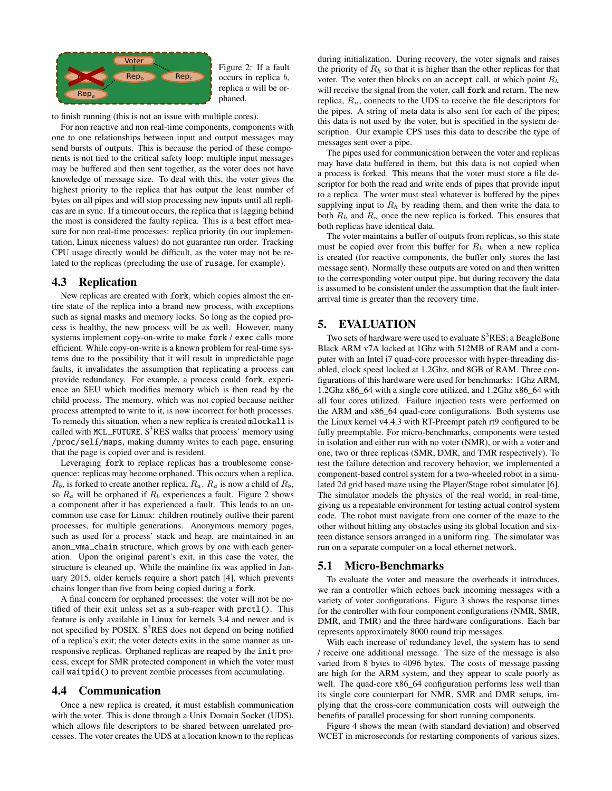<span id="page-3-2"></span>

Figure 2: If a fault occurs in replica b, replica a will be orphaned.

to finish running (this is not an issue with multiple cores).

For non reactive and non real-time components, components with one to one relationships between input and output messages may send bursts of outputs. This is because the period of these components is not tied to the critical safety loop: multiple input messages may be buffered and then sent together, as the voter does not have knowledge of message size. To deal with this, the voter gives the highest priority to the replica that has output the least number of bytes on all pipes and will stop processing new inputs until all replicas are in sync. If a timeout occurs, the replica that is lagging behind the most is considered the faulty replica. This is a best effort measure for non real-time processes: replica priority (in our implementation, Linux niceness values) do not guarantee run order. Tracking CPU usage directly would be difficult, as the voter may not be related to the replicas (precluding the use of rusage, for example).

### <span id="page-3-0"></span>4.3 Replication

New replicas are created with fork, which copies almost the entire state of the replica into a brand new process, with exceptions such as signal masks and memory locks. So long as the copied process is healthy, the new process will be as well. However, many systems implement copy-on-write to make fork / exec calls more efficient. While copy-on-write is a known problem for real-time systems due to the possibility that it will result in unpredictable page faults, it invalidates the assumption that replicating a process can provide redundancy. For example, a process could fork, experience an SEU which modifies memory which is then read by the child process. The memory, which was not copied because neither process attempted to write to it, is now incorrect for both processes. To remedy this situation, when a new replica is created mlockall is called with  $MCL_FUTURE. S<sup>3</sup>RES$  walks that process' memory using /proc/self/maps, making dummy writes to each page, ensuring that the page is copied over and is resident.

Leveraging fork to replace replicas has a troublesome consequence: replicas may become orphaned. This occurs when a replica,  $R_b$ , is forked to create another replica,  $R_a$ .  $R_a$  is now a child of  $R_b$ , so  $R_a$  will be orphaned if  $R_b$  experiences a fault. Figure [2](#page-3-2) shows a component after it has experienced a fault. This leads to an uncommon use case for Linux: children routinely outlive their parent processes, for multiple generations. Anonymous memory pages, such as used for a process' stack and heap, are maintained in an anon\_vma\_chain structure, which grows by one with each generation. Upon the original parent's exit, in this case the voter, the structure is cleaned up. While the mainline fix was applied in January 2015, older kernels require a short patch [\[4\]](#page-5-19), which prevents chains longer than five from being copied during a fork.

A final concern for orphaned processes: the voter will not be notified of their exit unless set as a sub-reaper with prctl(). This feature is only available in Linux for kernels 3.4 and newer and is not specified by POSIX.  $S<sup>3</sup>RES$  does not depend on being notified of a replica's exit; the voter detects exits in the same manner as unresponsive replicas. Orphaned replicas are reaped by the init process, except for SMR protected component in which the voter must call waitpid() to prevent zombie processes from accumulating.

#### <span id="page-3-1"></span>4.4 Communication

Once a new replica is created, it must establish communication with the voter. This is done through a Unix Domain Socket (UDS), which allows file descriptors to be shared between unrelated processes. The voter creates the UDS at a location known to the replicas

during initialization. During recovery, the voter signals and raises the priority of  $R<sub>h</sub>$  so that it is higher than the other replicas for that voter. The voter then blocks on an accept call, at which point  $R_h$ will receive the signal from the voter, call fork and return. The new replica,  $R_n$ , connects to the UDS to receive the file descriptors for the pipes. A string of meta data is also sent for each of the pipes; this data is not used by the voter, but is specified in the system description. Our example CPS uses this data to describe the type of messages sent over a pipe.

The pipes used for communication between the voter and replicas may have data buffered in them, but this data is not copied when a process is forked. This means that the voter must store a file descriptor for both the read and write ends of pipes that provide input to a replica. The voter must steal whatever is buffered by the pipes supplying input to  $R_h$  by reading them, and then write the data to both  $R_h$  and  $R_n$  once the new replica is forked. This ensures that both replicas have identical data.

The voter maintains a buffer of outputs from replicas, so this state must be copied over from this buffer for  $R<sub>h</sub>$  when a new replica is created (for reactive components, the buffer only stores the last message sent). Normally these outputs are voted on and then written to the corresponding voter output pipe, but during recovery the data is assumed to be consistent under the assumption that the fault interarrival time is greater than the recovery time.

# 5. EVALUATION

Two sets of hardware were used to evaluate  $S<sup>3</sup>RES$ ; a BeagleBone Black ARM v7A locked at 1Ghz with 512MB of RAM and a computer with an Intel i7 quad-core processor with hyper-threading disabled, clock speed locked at 1.2Ghz, and 8GB of RAM. Three configurations of this hardware were used for benchmarks: 1Ghz ARM, 1.2Ghz x86\_64 with a single core utilized, and 1.2Ghz x86\_64 with all four cores utilized. Failure injection tests were performed on the ARM and x86\_64 quad-core configurations. Both systems use the Linux kernel v4.4.3 with RT-Preempt patch rt9 configured to be fully preemptable. For micro-benchmarks, components were tested in isolation and either run with no voter (NMR), or with a voter and one, two or three replicas (SMR, DMR, and TMR respectively). To test the failure detection and recovery behavior, we implemented a component-based control system for a two-wheeled robot in a simulated 2d grid based maze using the Player/Stage robot simulator [\[6\]](#page-5-20). The simulator models the physics of the real world, in real-time, giving us a repeatable environment for testing actual control system code. The robot must navigate from one corner of the maze to the other without hitting any obstacles using its global location and sixteen distance sensors arranged in a uniform ring. The simulator was run on a separate computer on a local ethernet network.

### 5.1 Micro-Benchmarks

To evaluate the voter and measure the overheads it introduces, we ran a controller which echoes back incoming messages with a variety of voter configurations. Figure [3](#page-4-0) shows the response times for the controller with four component configurations (NMR, SMR, DMR, and TMR) and the three hardware configurations. Each bar represents approximately 8000 round trip messages.

With each increase of redundancy level, the system has to send / receive one additional message. The size of the message is also varied from 8 bytes to 4096 bytes. The costs of message passing are high for the ARM system, and they appear to scale poorly as well. The quad-core x86\_64 configuration performs less well than its single core counterpart for NMR, SMR and DMR setups, implying that the cross-core communication costs will outweigh the benefits of parallel processing for short running components.

Figure [4](#page-4-1) shows the mean (with standard deviation) and observed WCET in microseconds for restarting components of various sizes.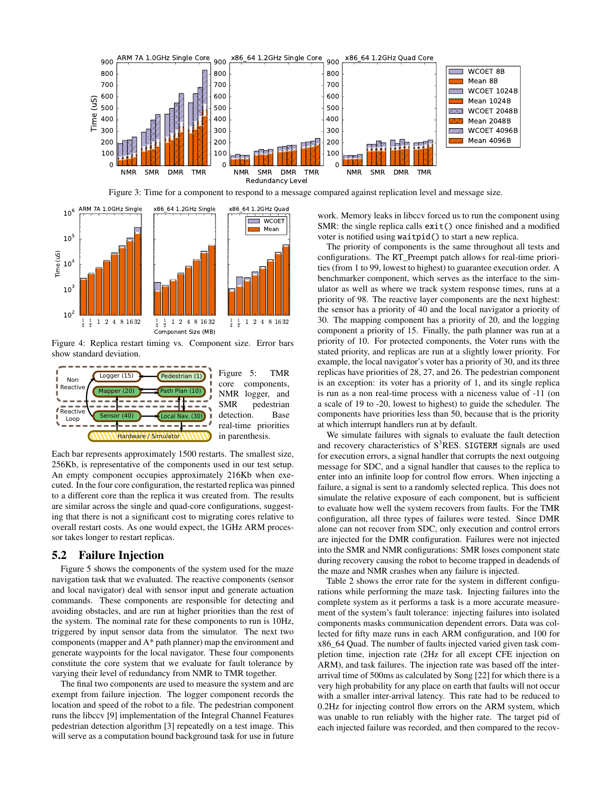<span id="page-4-0"></span>

Figure 3: Time for a component to respond to a message compared against replication level and message size.

<span id="page-4-1"></span>

Figure 4: Replica restart timing vs. Component size. Error bars show standard deviation.

<span id="page-4-2"></span>

Figure 5: TMR core components, NMR logger, and SMR pedestrian detection. Base real-time priorities in parenthesis.

Each bar represents approximately 1500 restarts. The smallest size, 256Kb, is representative of the components used in our test setup. An empty component occupies approximately 216Kb when executed. In the four core configuration, the restarted replica was pinned to a different core than the replica it was created from. The results are similar across the single and quad-core configurations, suggesting that there is not a significant cost to migrating cores relative to overall restart costs. As one would expect, the 1GHz ARM processor takes longer to restart replicas.

#### 5.2 Failure Injection

Figure [5](#page-4-2) shows the components of the system used for the maze navigation task that we evaluated. The reactive components (sensor and local navigator) deal with sensor input and generate actuation commands. These components are responsible for detecting and avoiding obstacles, and are run at higher priorities than the rest of the system. The nominal rate for these components to run is 10Hz, triggered by input sensor data from the simulator. The next two components (mapper and A\* path planner) map the environment and generate waypoints for the local navigator. These four components constitute the core system that we evaluate for fault tolerance by varying their level of redundancy from NMR to TMR together.

The final two components are used to measure the system and are exempt from failure injection. The logger component records the location and speed of the robot to a file. The pedestrian component runs the libccv [\[9\]](#page-5-21) implementation of the Integral Channel Features pedestrian detection algorithm [\[3\]](#page-5-22) repeatedly on a test image. This will serve as a computation bound background task for use in future

work. Memory leaks in libccv forced us to run the component using SMR: the single replica calls exit() once finished and a modified voter is notified using waitpid() to start a new replica.

The priority of components is the same throughout all tests and configurations. The RT\_Preempt patch allows for real-time priorities (from 1 to 99, lowest to highest) to guarantee execution order. A benchmarker component, which serves as the interface to the simulator as well as where we track system response times, runs at a priority of 98. The reactive layer components are the next highest: the sensor has a priority of 40 and the local navigator a priority of 30. The mapping component has a priority of 20, and the logging component a priority of 15. Finally, the path planner was run at a priority of 10. For protected components, the Voter runs with the stated priority, and replicas are run at a slightly lower priority. For example, the local navigator's voter has a priority of 30, and its three replicas have priorities of 28, 27, and 26. The pedestrian component is an exception: its voter has a priority of 1, and its single replica is run as a non real-time process with a niceness value of -11 (on a scale of 19 to -20, lowest to highest) to guide the scheduler. The components have priorities less than 50, because that is the priority at which interrupt handlers run at by default.

We simulate failures with signals to evaluate the fault detection and recovery characteristics of  $S<sup>3</sup>RES$ . SIGTERM signals are used for execution errors, a signal handler that corrupts the next outgoing message for SDC, and a signal handler that causes to the replica to enter into an infinite loop for control flow errors. When injecting a failure, a signal is sent to a randomly selected replica. This does not simulate the relative exposure of each component, but is sufficient to evaluate how well the system recovers from faults. For the TMR configuration, all three types of failures were tested. Since DMR alone can not recover from SDC, only execution and control errors are injected for the DMR configuration. Failures were not injected into the SMR and NMR configurations: SMR loses component state during recovery causing the robot to become trapped in deadends of the maze and NMR crashes when any failure is injected.

Table [2](#page-5-23) shows the error rate for the system in different configurations while performing the maze task. Injecting failures into the complete system as it performs a task is a more accurate measurement of the system's fault tolerance: injecting failures into isolated components masks communication dependent errors. Data was collected for fifty maze runs in each ARM configuration, and 100 for x86\_64 Quad. The number of faults injected varied given task completion time, injection rate (2Hz for all except CFE injection on ARM), and task failures. The injection rate was based off the interarrival time of 500ms as calculated by Song [\[22\]](#page-5-17) for which there is a very high probability for any place on earth that faults will not occur with a smaller inter-arrival latency. This rate had to be reduced to 0.2Hz for injecting control flow errors on the ARM system, which was unable to run reliably with the higher rate. The target pid of each injected failure was recorded, and then compared to the recov-